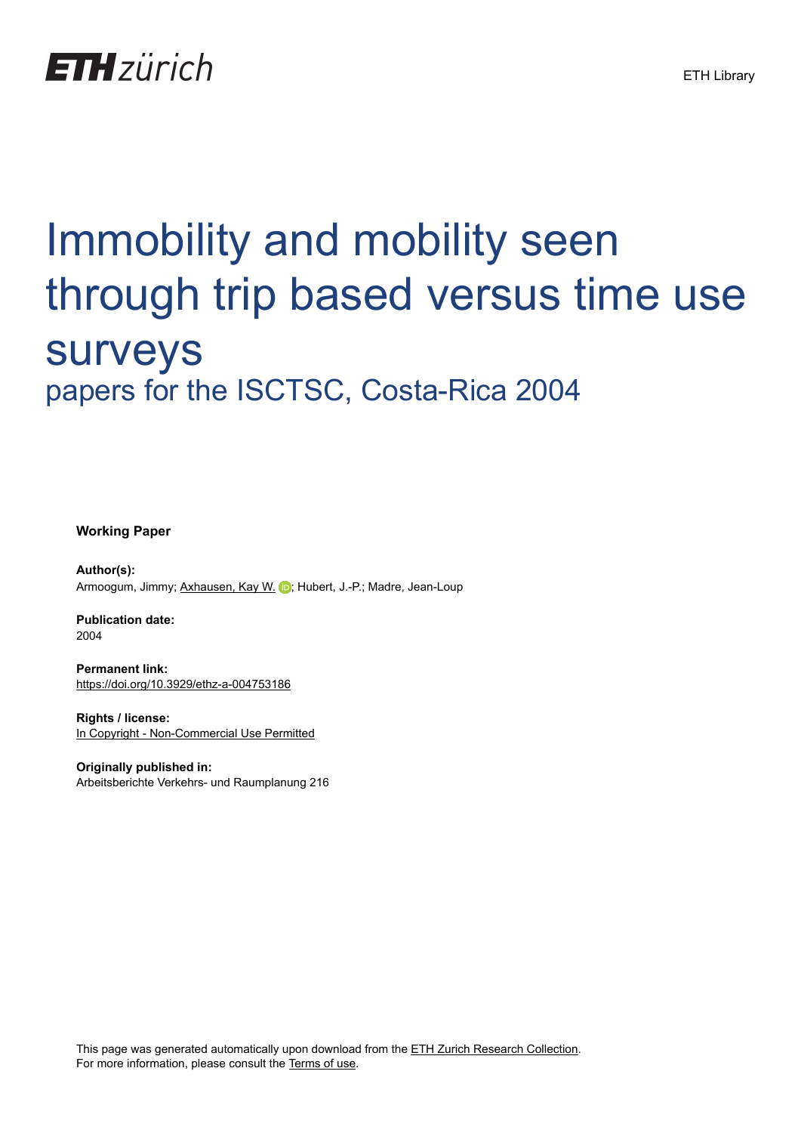

# Immobility and mobility seen through trip based versus time use surveys papers for the ISCTSC, Costa-Rica 2004

**Working Paper**

**Author(s):** Armoogum, Jimmy; [Axhausen, Kay W.](https://orcid.org/0000-0003-3331-1318) (b); Hubert, J.-P.; Madre, Jean-Loup

**Publication date:** 2004

**Permanent link:** <https://doi.org/10.3929/ethz-a-004753186>

**Rights / license:** [In Copyright - Non-Commercial Use Permitted](http://rightsstatements.org/page/InC-NC/1.0/)

**Originally published in:** Arbeitsberichte Verkehrs- und Raumplanung 216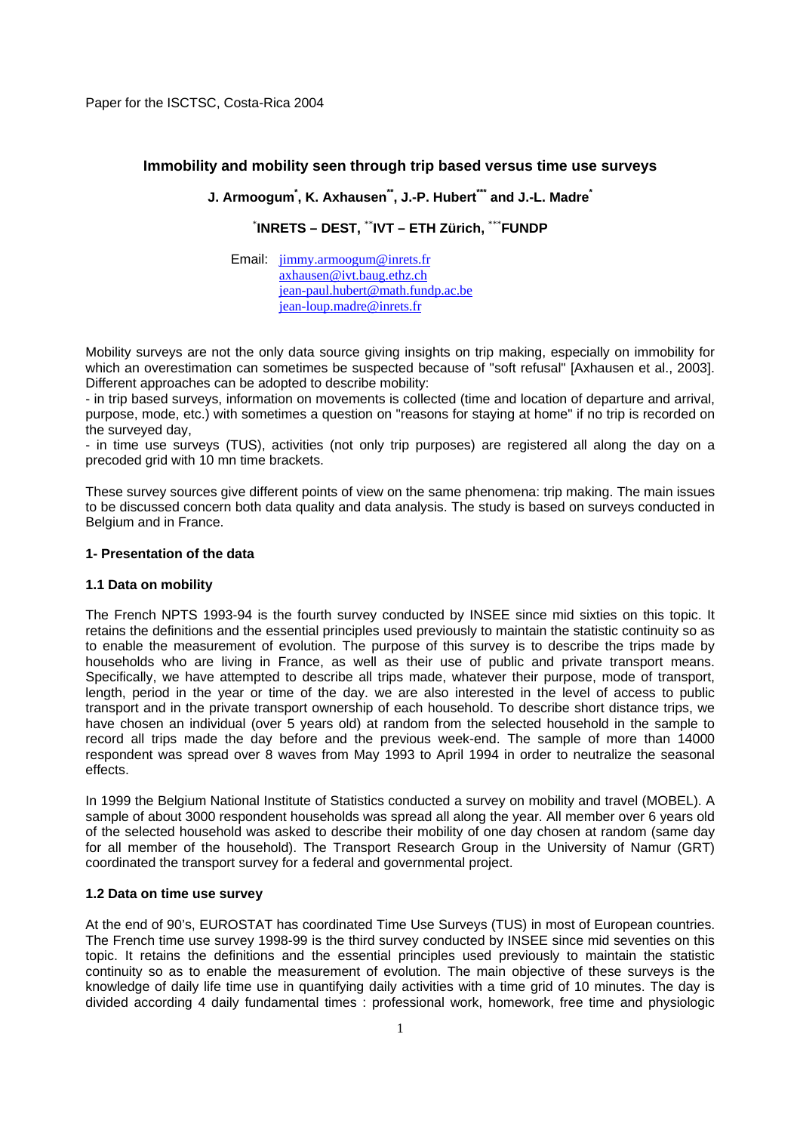Paper for the ISCTSC, Costa-Rica 2004

# **Immobility and mobility seen through trip based versus time use surveys**

**J. Armoogum\* , K. Axhausen\*\*, J.-P. Hubert\*\*\* and J.-L. Madre\***

\* **INRETS – DEST,** \*\***IVT – ETH Zürich,** \*\*\***FUNDP** 

Email: jimmy.armoogum@inrets.fr axhausen@ivt.baug.ethz.ch jean-paul.hubert@math.fundp.ac.be jean-loup.madre@inrets.fr

Mobility surveys are not the only data source giving insights on trip making, especially on immobility for which an overestimation can sometimes be suspected because of "soft refusal" [Axhausen et al., 2003]. Different approaches can be adopted to describe mobility:

- in trip based surveys, information on movements is collected (time and location of departure and arrival, purpose, mode, etc.) with sometimes a question on "reasons for staying at home" if no trip is recorded on the surveyed day,

- in time use surveys (TUS), activities (not only trip purposes) are registered all along the day on a precoded grid with 10 mn time brackets.

These survey sources give different points of view on the same phenomena: trip making. The main issues to be discussed concern both data quality and data analysis. The study is based on surveys conducted in Belgium and in France.

## **1- Presentation of the data**

## **1.1 Data on mobility**

The French NPTS 1993-94 is the fourth survey conducted by INSEE since mid sixties on this topic. It retains the definitions and the essential principles used previously to maintain the statistic continuity so as to enable the measurement of evolution. The purpose of this survey is to describe the trips made by households who are living in France, as well as their use of public and private transport means. Specifically, we have attempted to describe all trips made, whatever their purpose, mode of transport, length, period in the year or time of the day. we are also interested in the level of access to public transport and in the private transport ownership of each household. To describe short distance trips, we have chosen an individual (over 5 years old) at random from the selected household in the sample to record all trips made the day before and the previous week-end. The sample of more than 14000 respondent was spread over 8 waves from May 1993 to April 1994 in order to neutralize the seasonal effects.

In 1999 the Belgium National Institute of Statistics conducted a survey on mobility and travel (MOBEL). A sample of about 3000 respondent households was spread all along the year. All member over 6 years old of the selected household was asked to describe their mobility of one day chosen at random (same day for all member of the household). The Transport Research Group in the University of Namur (GRT) coordinated the transport survey for a federal and governmental project.

## **1.2 Data on time use survey**

At the end of 90's, EUROSTAT has coordinated Time Use Surveys (TUS) in most of European countries. The French time use survey 1998-99 is the third survey conducted by INSEE since mid seventies on this topic. It retains the definitions and the essential principles used previously to maintain the statistic continuity so as to enable the measurement of evolution. The main objective of these surveys is the knowledge of daily life time use in quantifying daily activities with a time grid of 10 minutes. The day is divided according 4 daily fundamental times : professional work, homework, free time and physiologic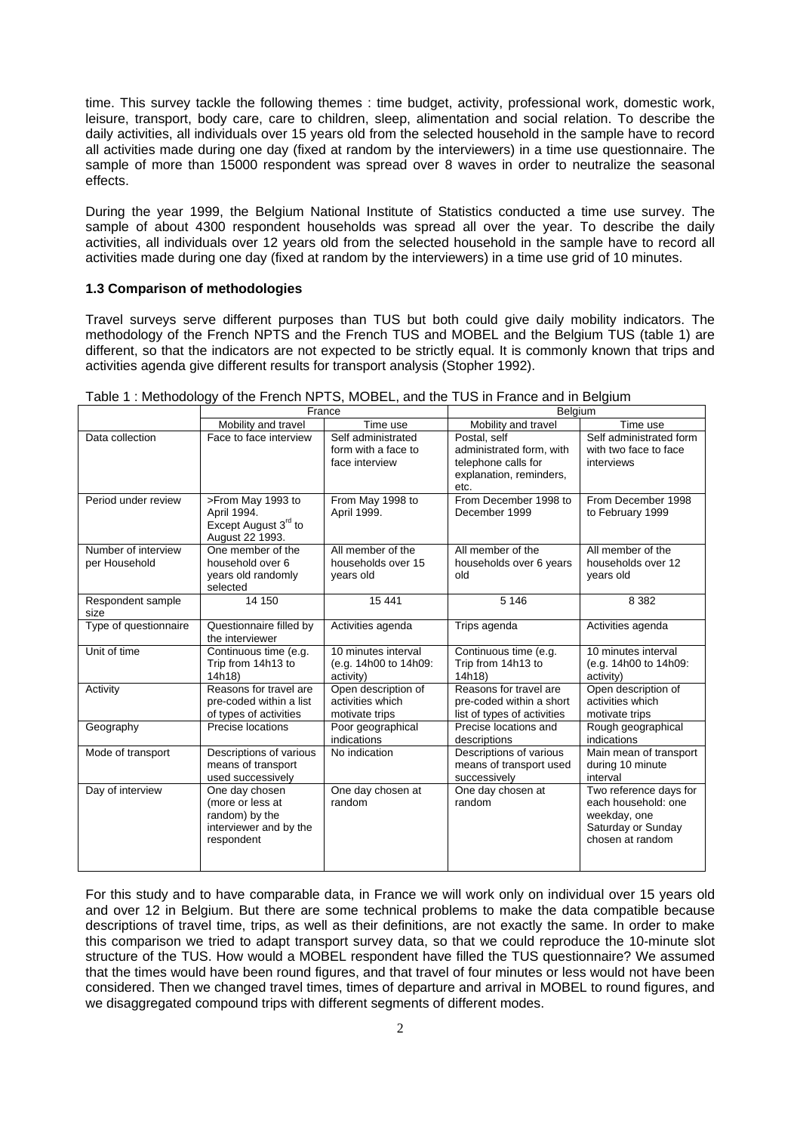time. This survey tackle the following themes : time budget, activity, professional work, domestic work, leisure, transport, body care, care to children, sleep, alimentation and social relation. To describe the daily activities, all individuals over 15 years old from the selected household in the sample have to record all activities made during one day (fixed at random by the interviewers) in a time use questionnaire. The sample of more than 15000 respondent was spread over 8 waves in order to neutralize the seasonal effects.

During the year 1999, the Belgium National Institute of Statistics conducted a time use survey. The sample of about 4300 respondent households was spread all over the year. To describe the daily activities, all individuals over 12 years old from the selected household in the sample have to record all activities made during one day (fixed at random by the interviewers) in a time use grid of 10 minutes.

#### **1.3 Comparison of methodologies**

Travel surveys serve different purposes than TUS but both could give daily mobility indicators. The methodology of the French NPTS and the French TUS and MOBEL and the Belgium TUS (table 1) are different, so that the indicators are not expected to be strictly equal. It is commonly known that trips and activities agenda give different results for transport analysis (Stopher 1992).

|                                      |                                                                                              | France                                                      | Belgium                                                                                            |                                                                                                         |  |
|--------------------------------------|----------------------------------------------------------------------------------------------|-------------------------------------------------------------|----------------------------------------------------------------------------------------------------|---------------------------------------------------------------------------------------------------------|--|
|                                      | Mobility and travel                                                                          | Time use                                                    | Mobility and travel                                                                                | Time use                                                                                                |  |
| Data collection                      | Face to face interview                                                                       | Self administrated<br>form with a face to<br>face interview | Postal, self<br>administrated form, with<br>telephone calls for<br>explanation, reminders,<br>etc. | Self administrated form<br>with two face to face<br>interviews                                          |  |
| Period under review                  | >From May 1993 to<br>April 1994.<br>Except August 3rd to<br>August 22 1993.                  | From May 1998 to<br>April 1999.                             | From December 1998 to<br>December 1999                                                             | From December 1998<br>to February 1999                                                                  |  |
| Number of interview<br>per Household | One member of the<br>household over 6<br>years old randomly<br>selected                      | All member of the<br>households over 15<br>years old        | All member of the<br>households over 6 years<br>old                                                | All member of the<br>households over 12<br>years old                                                    |  |
| Respondent sample<br>size            | 14 150                                                                                       | 15 4 41                                                     | 5 1 4 6                                                                                            | 8 3 8 2                                                                                                 |  |
| Type of questionnaire                | Questionnaire filled by<br>the interviewer                                                   | Activities agenda                                           | Trips agenda                                                                                       | Activities agenda                                                                                       |  |
| Unit of time                         | Continuous time (e.g.<br>Trip from 14h13 to<br>14h18)                                        | 10 minutes interval<br>(e.g. 14h00 to 14h09:<br>activity)   | Continuous time (e.g.<br>Trip from 14h13 to<br>14h18)                                              | 10 minutes interval<br>(e.g. 14h00 to 14h09:<br>activity)                                               |  |
| Activity                             | Reasons for travel are<br>pre-coded within a list<br>of types of activities                  | Open description of<br>activities which<br>motivate trips   | Reasons for travel are<br>pre-coded within a short<br>list of types of activities                  | Open description of<br>activities which<br>motivate trips                                               |  |
| Geography                            | Precise locations                                                                            | Poor geographical<br>indications                            | Precise locations and<br>descriptions                                                              | Rough geographical<br>indications                                                                       |  |
| Mode of transport                    | Descriptions of various<br>means of transport<br>used successively                           | No indication                                               | Descriptions of various<br>means of transport used<br>successively                                 | Main mean of transport<br>during 10 minute<br>interval                                                  |  |
| Day of interview                     | One day chosen<br>(more or less at<br>random) by the<br>interviewer and by the<br>respondent | One day chosen at<br>random                                 | One day chosen at<br>random                                                                        | Two reference days for<br>each household: one<br>weekday, one<br>Saturday or Sunday<br>chosen at random |  |

Table 1 : Methodology of the French NPTS, MOBEL, and the TUS in France and in Belgium

For this study and to have comparable data, in France we will work only on individual over 15 years old and over 12 in Belgium. But there are some technical problems to make the data compatible because descriptions of travel time, trips, as well as their definitions, are not exactly the same. In order to make this comparison we tried to adapt transport survey data, so that we could reproduce the 10-minute slot structure of the TUS. How would a MOBEL respondent have filled the TUS questionnaire? We assumed that the times would have been round figures, and that travel of four minutes or less would not have been considered. Then we changed travel times, times of departure and arrival in MOBEL to round figures, and we disaggregated compound trips with different segments of different modes.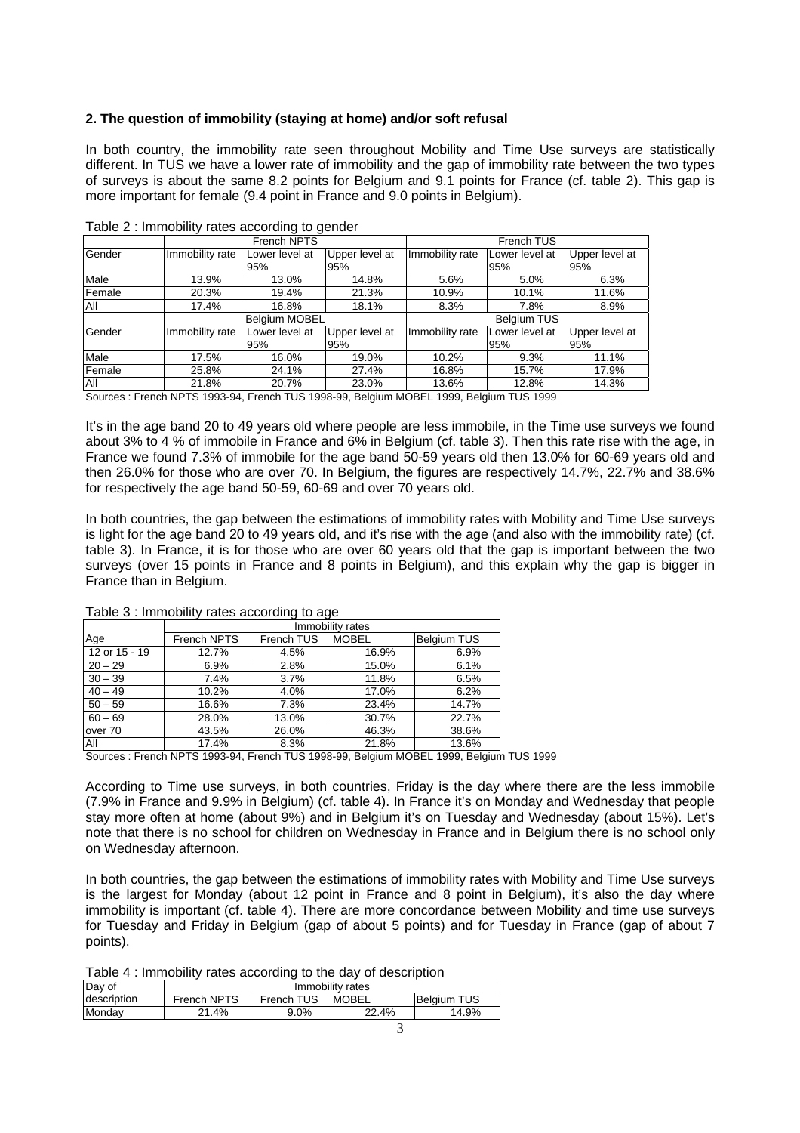## **2. The question of immobility (staying at home) and/or soft refusal**

In both country, the immobility rate seen throughout Mobility and Time Use surveys are statistically different. In TUS we have a lower rate of immobility and the gap of immobility rate between the two types of surveys is about the same 8.2 points for Belgium and 9.1 points for France (cf. table 2). This gap is more important for female (9.4 point in France and 9.0 points in Belgium).

|            |                 | French NPTS           |                       |                    | French TUS            |                       |  |
|------------|-----------------|-----------------------|-----------------------|--------------------|-----------------------|-----------------------|--|
| Gender     | Immobility rate | Lower level at<br>95% | Upper level at<br>95% | Immobility rate    | Lower level at<br>95% | Upper level at<br>95% |  |
| Male       | 13.9%           | 13.0%                 | 14.8%                 | 5.6%               | 5.0%                  | 6.3%                  |  |
| Female     | 20.3%           | 19.4%                 | 21.3%                 | 10.9%              | 10.1%                 | 11.6%                 |  |
| <b>AII</b> | 17.4%           | 16.8%                 | 18.1%                 | 8.3%               | 7.8%                  | 8.9%                  |  |
|            |                 | <b>Belgium MOBEL</b>  |                       | <b>Belgium TUS</b> |                       |                       |  |
| Gender     | Immobility rate | Lower level at<br>95% | Upper level at<br>95% | Immobility rate    | Lower level at<br>95% | Upper level at<br>95% |  |
| Male       | 17.5%           | 16.0%                 | 19.0%                 | 10.2%              | 9.3%                  | 11.1%                 |  |
| Female     | 25.8%           | 24.1%                 | 27.4%                 | 16.8%              | 15.7%                 | 17.9%                 |  |
| <b>AII</b> | 21.8%           | 20.7%                 | 23.0%                 | 13.6%              | 12.8%                 | 14.3%                 |  |

Table 2 : Immobility rates according to gender

Sources : French NPTS 1993-94, French TUS 1998-99, Belgium MOBEL 1999, Belgium TUS 1999

It's in the age band 20 to 49 years old where people are less immobile, in the Time use surveys we found about 3% to 4 % of immobile in France and 6% in Belgium (cf. table 3). Then this rate rise with the age, in France we found 7.3% of immobile for the age band 50-59 years old then 13.0% for 60-69 years old and then 26.0% for those who are over 70. In Belgium, the figures are respectively 14.7%, 22.7% and 38.6% for respectively the age band 50-59, 60-69 and over 70 years old.

In both countries, the gap between the estimations of immobility rates with Mobility and Time Use surveys is light for the age band 20 to 49 years old, and it's rise with the age (and also with the immobility rate) (cf. table 3). In France, it is for those who are over 60 years old that the gap is important between the two surveys (over 15 points in France and 8 points in Belgium), and this explain why the gap is bigger in France than in Belgium.

|               |             | Immobility rates |              |                    |  |  |
|---------------|-------------|------------------|--------------|--------------------|--|--|
| Age           | French NPTS | French TUS       | <b>MOBEL</b> | <b>Belgium TUS</b> |  |  |
| 12 or 15 - 19 | 12.7%       | 4.5%             | 16.9%        | 6.9%               |  |  |
| $20 - 29$     | 6.9%        | 2.8%             | 15.0%        | 6.1%               |  |  |
| $30 - 39$     | 7.4%        | 3.7%             | 11.8%        | 6.5%               |  |  |
| $40 - 49$     | 10.2%       | 4.0%             | 17.0%        | 6.2%               |  |  |
| $50 - 59$     | 16.6%       | 7.3%             | 23.4%        | 14.7%              |  |  |
| $60 - 69$     | 28.0%       | 13.0%            | 30.7%        | 22.7%              |  |  |
| over 70       | 43.5%       | 26.0%            | 46.3%        | 38.6%              |  |  |
| All           | 17.4%       | 8.3%             | 21.8%        | 13.6%              |  |  |

Table 3 : Immobility rates according to age

Sources : French NPTS 1993-94, French TUS 1998-99, Belgium MOBEL 1999, Belgium TUS 1999

According to Time use surveys, in both countries, Friday is the day where there are the less immobile (7.9% in France and 9.9% in Belgium) (cf. table 4). In France it's on Monday and Wednesday that people stay more often at home (about 9%) and in Belgium it's on Tuesday and Wednesday (about 15%). Let's note that there is no school for children on Wednesday in France and in Belgium there is no school only on Wednesday afternoon.

In both countries, the gap between the estimations of immobility rates with Mobility and Time Use surveys is the largest for Monday (about 12 point in France and 8 point in Belgium), it's also the day where immobility is important (cf. table 4). There are more concordance between Mobility and time use surveys for Tuesday and Friday in Belgium (gap of about 5 points) and for Tuesday in France (gap of about 7 points).

| Table 4 : Immobility rates according to the day of description |  |  |  |  |  |  |
|----------------------------------------------------------------|--|--|--|--|--|--|
|----------------------------------------------------------------|--|--|--|--|--|--|

| Day of      | Immobility rates |            |              |                    |  |
|-------------|------------------|------------|--------------|--------------------|--|
| description | French NPTS      | French TUS | <b>MOBEL</b> | <b>Belaium TUS</b> |  |
| Mondav      | 21.4%            | $9.0\%$    | 22.4%        | 14.9%              |  |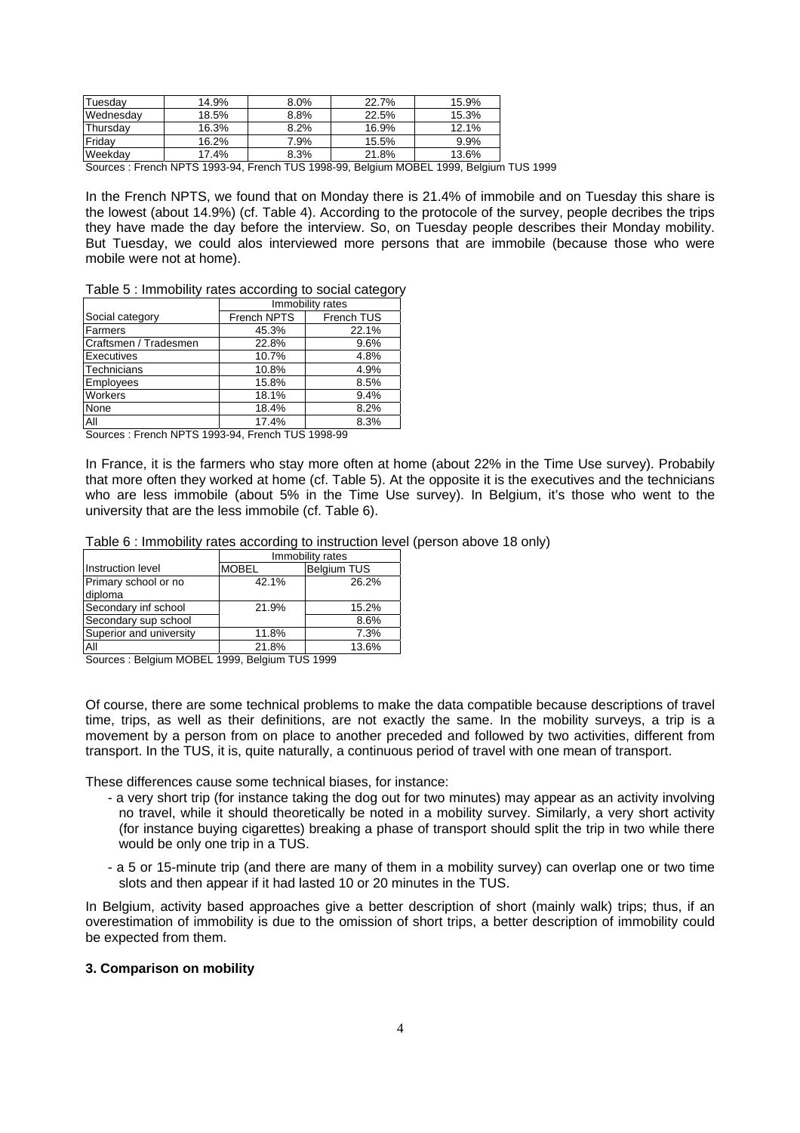| Tuesdav   | 14.9% | 8.0% | 22.7% | 15.9% |
|-----------|-------|------|-------|-------|
| Wednesday | 18.5% | 8.8% | 22.5% | 15.3% |
| Thursdav  | 16.3% | 8.2% | 16.9% | 12.1% |
| Fridav    | 16.2% | 7.9% | 15.5% | 9.9%  |
| Weekdav   | 17.4% | 8.3% | 21.8% | 13.6% |

Sources : French NPTS 1993-94, French TUS 1998-99, Belgium MOBEL 1999, Belgium TUS 1999

In the French NPTS, we found that on Monday there is 21.4% of immobile and on Tuesday this share is the lowest (about 14.9%) (cf. Table 4). According to the protocole of the survey, people decribes the trips they have made the day before the interview. So, on Tuesday people describes their Monday mobility. But Tuesday, we could alos interviewed more persons that are immobile (because those who were mobile were not at home).

|  | Table 5 : Immobility rates according to social category |  |  |
|--|---------------------------------------------------------|--|--|
|  |                                                         |  |  |

|                       | Immobility rates |            |  |
|-----------------------|------------------|------------|--|
| Social category       | French NPTS      | French TUS |  |
| Farmers               | 45.3%            | 22.1%      |  |
| Craftsmen / Tradesmen | 22.8%            | 9.6%       |  |
| Executives            | 10.7%            | 4.8%       |  |
| Technicians           | 10.8%            | 4.9%       |  |
| Employees             | 15.8%            | 8.5%       |  |
| Workers               | 18.1%            | 9.4%       |  |
| None                  | 18.4%            | 8.2%       |  |
| ΑIΙ                   | 17.4%            | 8.3%       |  |

Sources : French NPTS 1993-94, French TUS 1998-99

In France, it is the farmers who stay more often at home (about 22% in the Time Use survey). Probabily that more often they worked at home (cf. Table 5). At the opposite it is the executives and the technicians who are less immobile (about 5% in the Time Use survey). In Belgium, it's those who went to the university that are the less immobile (cf. Table 6).

Table 6 : Immobility rates according to instruction level (person above 18 only)

|                                 | Immobility rates |                    |  |  |
|---------------------------------|------------------|--------------------|--|--|
| Instruction level               | <b>MOBEL</b>     | <b>Belgium TUS</b> |  |  |
| Primary school or no<br>diploma | 42.1%            | 26.2%              |  |  |
| Secondary inf school            | 21.9%            | 15.2%              |  |  |
| Secondary sup school            |                  | 8.6%               |  |  |
| Superior and university         | 11.8%            | 7.3%               |  |  |
| All                             | 21.8%            | 13.6%              |  |  |

Sources : Belgium MOBEL 1999, Belgium TUS 1999

Of course, there are some technical problems to make the data compatible because descriptions of travel time, trips, as well as their definitions, are not exactly the same. In the mobility surveys, a trip is a movement by a person from on place to another preceded and followed by two activities, different from transport. In the TUS, it is, quite naturally, a continuous period of travel with one mean of transport.

These differences cause some technical biases, for instance:

- a very short trip (for instance taking the dog out for two minutes) may appear as an activity involving no travel, while it should theoretically be noted in a mobility survey. Similarly, a very short activity (for instance buying cigarettes) breaking a phase of transport should split the trip in two while there would be only one trip in a TUS.
- a 5 or 15-minute trip (and there are many of them in a mobility survey) can overlap one or two time slots and then appear if it had lasted 10 or 20 minutes in the TUS.

In Belgium, activity based approaches give a better description of short (mainly walk) trips; thus, if an overestimation of immobility is due to the omission of short trips, a better description of immobility could be expected from them.

#### **3. Comparison on mobility**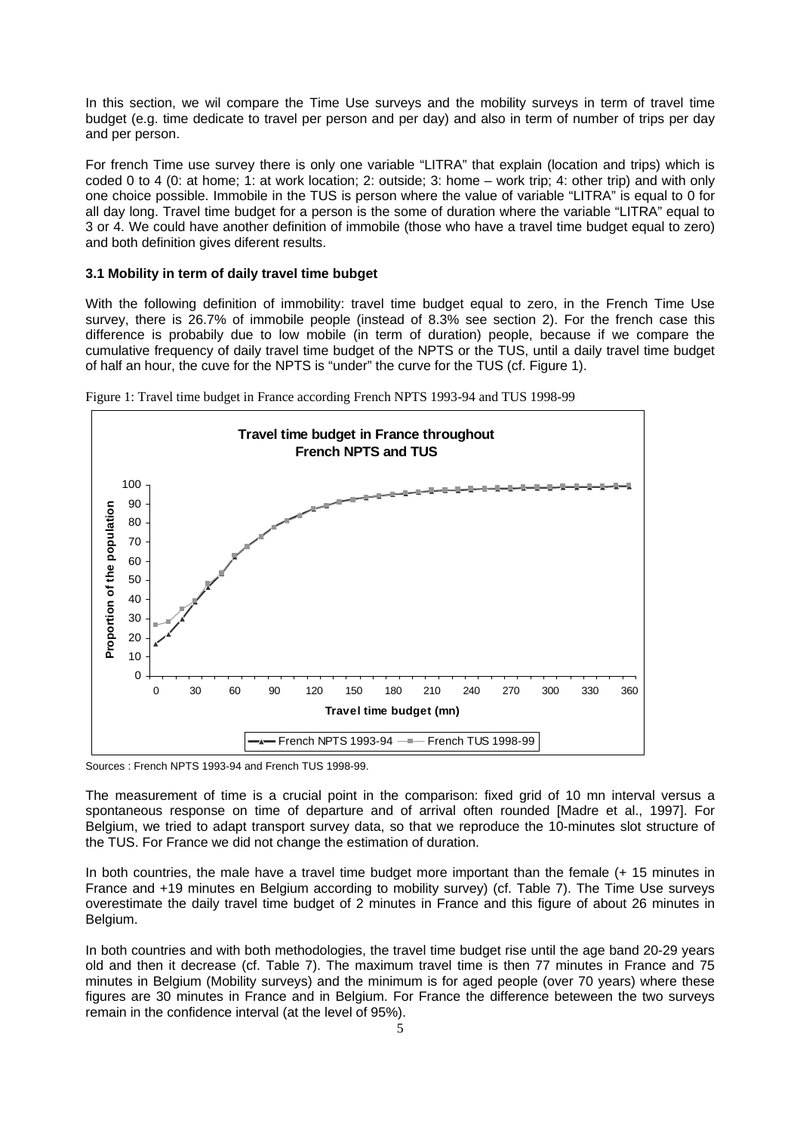In this section, we wil compare the Time Use surveys and the mobility surveys in term of travel time budget (e.g. time dedicate to travel per person and per day) and also in term of number of trips per day and per person.

For french Time use survey there is only one variable "LITRA" that explain (location and trips) which is coded 0 to 4 (0: at home; 1: at work location; 2: outside; 3: home – work trip; 4: other trip) and with only one choice possible. Immobile in the TUS is person where the value of variable "LITRA" is equal to 0 for all day long. Travel time budget for a person is the some of duration where the variable "LITRA" equal to 3 or 4. We could have another definition of immobile (those who have a travel time budget equal to zero) and both definition gives diferent results.

## **3.1 Mobility in term of daily travel time bubget**

With the following definition of immobility: travel time budget equal to zero, in the French Time Use survey, there is 26.7% of immobile people (instead of 8.3% see section 2). For the french case this difference is probabily due to low mobile (in term of duration) people, because if we compare the cumulative frequency of daily travel time budget of the NPTS or the TUS, until a daily travel time budget of half an hour, the cuve for the NPTS is "under" the curve for the TUS (cf. Figure 1).



Figure 1: Travel time budget in France according French NPTS 1993-94 and TUS 1998-99

Sources : French NPTS 1993-94 and French TUS 1998-99.

The measurement of time is a crucial point in the comparison: fixed grid of 10 mn interval versus a spontaneous response on time of departure and of arrival often rounded [Madre et al., 1997]. For Belgium, we tried to adapt transport survey data, so that we reproduce the 10-minutes slot structure of the TUS. For France we did not change the estimation of duration.

In both countries, the male have a travel time budget more important than the female (+ 15 minutes in France and +19 minutes en Belgium according to mobility survey) (cf. Table 7). The Time Use surveys overestimate the daily travel time budget of 2 minutes in France and this figure of about 26 minutes in Belgium.

In both countries and with both methodologies, the travel time budget rise until the age band 20-29 years old and then it decrease (cf. Table 7). The maximum travel time is then 77 minutes in France and 75 minutes in Belgium (Mobility surveys) and the minimum is for aged people (over 70 years) where these figures are 30 minutes in France and in Belgium. For France the difference beteween the two surveys remain in the confidence interval (at the level of 95%).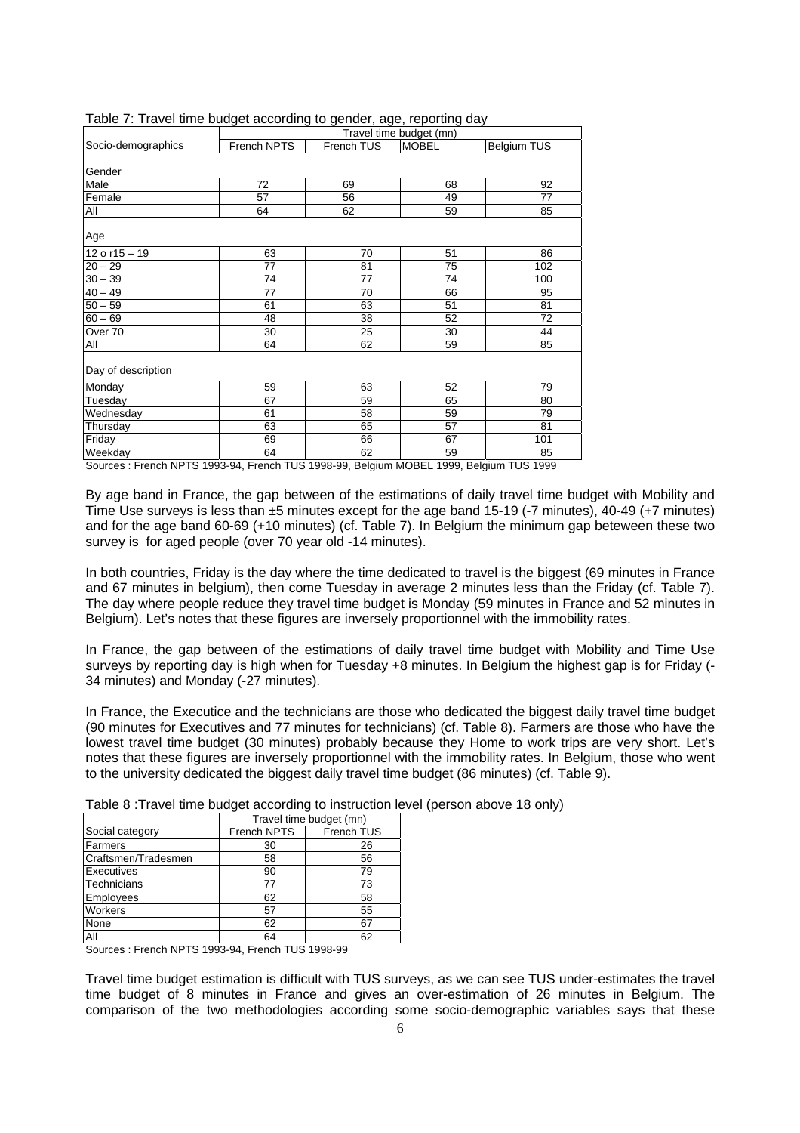|                    |             |            | Travel time budget (mn) |             |
|--------------------|-------------|------------|-------------------------|-------------|
| Socio-demographics | French NPTS | French TUS | <b>MOBEL</b>            | Belgium TUS |
| Gender             |             |            |                         |             |
| Male               | 72          | 69         | 68                      | 92          |
| Female             | 57          | 56         | 49                      | 77          |
| All                | 64          | 62         | 59                      | 85          |
| Age                |             |            |                         |             |
| $12$ o r15 - 19    | 63          | 70         | 51                      | 86          |
| $20 - 29$          | 77          | 81         | 75                      | 102         |
| $30 - 39$          | 74          | 77         | 74                      | 100         |
| $40 - 49$          | 77          | 70         | 66                      | 95          |
| $50 - 59$          | 61          | 63         | 51                      | 81          |
| $60 - 69$          | 48          | 38         | 52                      | 72          |
| Over 70            | 30          | 25         | 30                      | 44          |
| All                | 64          | 62         | 59                      | 85          |
| Day of description |             |            |                         |             |
| Monday             | 59          | 63         | 52                      | 79          |
| Tuesday            | 67          | 59         | 65                      | 80          |
| Wednesday          | 61          | 58         | 59                      | 79          |
| Thursday           | 63          | 65         | 57                      | 81          |
| Friday             | 69          | 66         | 67                      | 101         |
| Weekday            | 64          | 62         | 59                      | 85          |

#### Table 7: Travel time budget according to gender, age, reporting day

Sources : French NPTS 1993-94, French TUS 1998-99, Belgium MOBEL 1999, Belgium TUS 1999

By age band in France, the gap between of the estimations of daily travel time budget with Mobility and Time Use surveys is less than ±5 minutes except for the age band 15-19 (-7 minutes), 40-49 (+7 minutes) and for the age band 60-69 (+10 minutes) (cf. Table 7). In Belgium the minimum gap beteween these two survey is for aged people (over 70 year old -14 minutes).

In both countries, Friday is the day where the time dedicated to travel is the biggest (69 minutes in France and 67 minutes in belgium), then come Tuesday in average 2 minutes less than the Friday (cf. Table 7). The day where people reduce they travel time budget is Monday (59 minutes in France and 52 minutes in Belgium). Let's notes that these figures are inversely proportionnel with the immobility rates.

In France, the gap between of the estimations of daily travel time budget with Mobility and Time Use surveys by reporting day is high when for Tuesday +8 minutes. In Belgium the highest gap is for Friday (- 34 minutes) and Monday (-27 minutes).

In France, the Executice and the technicians are those who dedicated the biggest daily travel time budget (90 minutes for Executives and 77 minutes for technicians) (cf. Table 8). Farmers are those who have the lowest travel time budget (30 minutes) probably because they Home to work trips are very short. Let's notes that these figures are inversely proportionnel with the immobility rates. In Belgium, those who went to the university dedicated the biggest daily travel time budget (86 minutes) (cf. Table 9).

Table 8 :Travel time budget according to instruction level (person above 18 only)

|                     | Travel time budget (mn) |            |  |
|---------------------|-------------------------|------------|--|
| Social category     | French NPTS             | French TUS |  |
| Farmers             | 30                      | 26         |  |
| Craftsmen/Tradesmen | 58                      | 56         |  |
| Executives          | 90                      | 79         |  |
| Technicians         | 77                      | 73         |  |
| Employees           | 62                      | 58         |  |
| Workers             | 57                      | 55         |  |
| None                | 62                      | 67         |  |
| All                 | 64                      | 62         |  |

Sources : French NPTS 1993-94, French TUS 1998-99

Travel time budget estimation is difficult with TUS surveys, as we can see TUS under-estimates the travel time budget of 8 minutes in France and gives an over-estimation of 26 minutes in Belgium. The comparison of the two methodologies according some socio-demographic variables says that these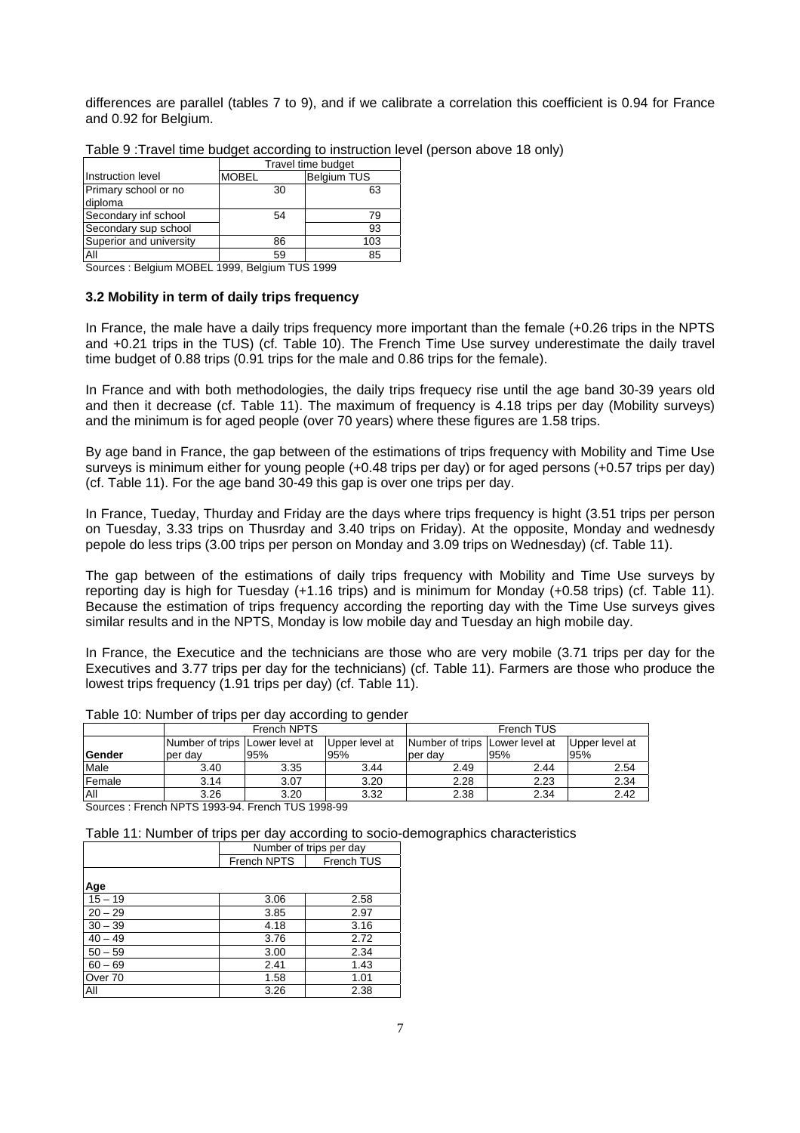differences are parallel (tables 7 to 9), and if we calibrate a correlation this coefficient is 0.94 for France and 0.92 for Belgium.

|                         | Travel time budget |                    |  |  |
|-------------------------|--------------------|--------------------|--|--|
| Instruction level       | <b>MOBEL</b>       | <b>Belgium TUS</b> |  |  |
| Primary school or no    | 30                 | 63                 |  |  |
| diploma                 |                    |                    |  |  |
| Secondary inf school    | 54                 | 79                 |  |  |
| Secondary sup school    |                    | 93                 |  |  |
| Superior and university | 86                 | 103                |  |  |
| All                     | 59                 | 85                 |  |  |

Table 9 :Travel time budget according to instruction level (person above 18 only)

Sources : Belgium MOBEL 1999, Belgium TUS 1999

## **3.2 Mobility in term of daily trips frequency**

In France, the male have a daily trips frequency more important than the female (+0.26 trips in the NPTS and +0.21 trips in the TUS) (cf. Table 10). The French Time Use survey underestimate the daily travel time budget of 0.88 trips (0.91 trips for the male and 0.86 trips for the female).

In France and with both methodologies, the daily trips frequecy rise until the age band 30-39 years old and then it decrease (cf. Table 11). The maximum of frequency is 4.18 trips per day (Mobility surveys) and the minimum is for aged people (over 70 years) where these figures are 1.58 trips.

By age band in France, the gap between of the estimations of trips frequency with Mobility and Time Use surveys is minimum either for young people (+0.48 trips per day) or for aged persons (+0.57 trips per day) (cf. Table 11). For the age band 30-49 this gap is over one trips per day.

In France, Tueday, Thurday and Friday are the days where trips frequency is hight (3.51 trips per person on Tuesday, 3.33 trips on Thusrday and 3.40 trips on Friday). At the opposite, Monday and wednesdy pepole do less trips (3.00 trips per person on Monday and 3.09 trips on Wednesday) (cf. Table 11).

The gap between of the estimations of daily trips frequency with Mobility and Time Use surveys by reporting day is high for Tuesday (+1.16 trips) and is minimum for Monday (+0.58 trips) (cf. Table 11). Because the estimation of trips frequency according the reporting day with the Time Use surveys gives similar results and in the NPTS, Monday is low mobile day and Tuesday an high mobile day.

In France, the Executice and the technicians are those who are very mobile (3.71 trips per day for the Executives and 3.77 trips per day for the technicians) (cf. Table 11). Farmers are those who produce the lowest trips frequency (1.91 trips per day) (cf. Table 11).

|                | French NPTS                    |      |                | French TUS                     |      |                |
|----------------|--------------------------------|------|----------------|--------------------------------|------|----------------|
|                | Number of trips Lower level at |      | Upper level at | Number of trips Lower level at |      | Upper level at |
| <b>IGender</b> | per dav                        | 195% | 95%            | per dav                        | 95%  | 95%            |
| Male           | 3.40                           | 3.35 | 3.44           | 2.49                           | 2.44 | 2.54           |
| Female         | 3.14                           | 3.07 | 3.20           | 2.28                           | 2.23 | 2.34           |
| <b>All</b>     | 3.26                           | 3.20 | 3.32           | 2.38                           | 2.34 | 2.42           |

| Table 10: Number of trips per day according to gender |
|-------------------------------------------------------|
|-------------------------------------------------------|

Sources : French NPTS 1993-94. French TUS 1998-99

Table 11: Number of trips per day according to socio-demographics characteristics

|           | Number of trips per day |            |  |
|-----------|-------------------------|------------|--|
|           | French NPTS             | French TUS |  |
|           |                         |            |  |
| Age       |                         |            |  |
| $15 - 19$ | 3.06                    | 2.58       |  |
| $20 - 29$ | 3.85                    | 2.97       |  |
| $30 - 39$ | 4.18                    | 3.16       |  |
| $40 - 49$ | 3.76                    | 2.72       |  |
| $50 - 59$ | 3.00                    | 2.34       |  |
| $60 - 69$ | 2.41                    | 1.43       |  |
| Over 70   | 1.58                    | 1.01       |  |
| All       | 3.26                    | 2.38       |  |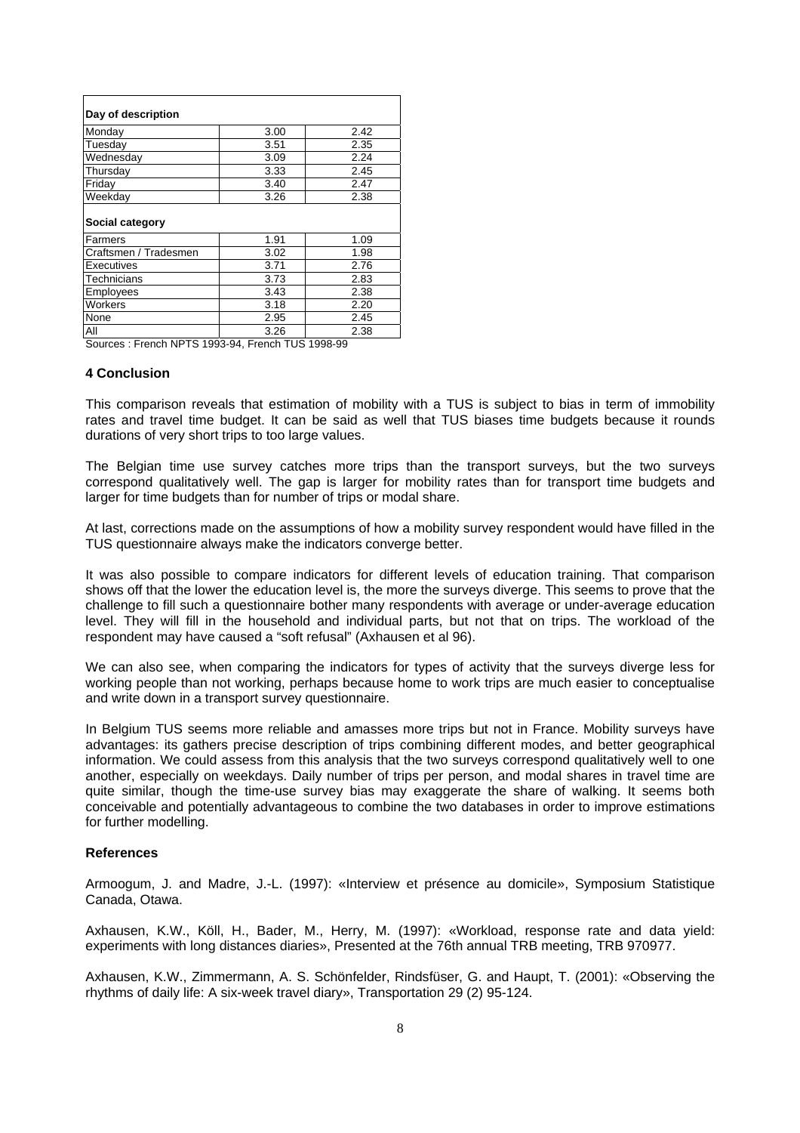| Day of description    |      |      |
|-----------------------|------|------|
| Monday                | 3.00 | 2.42 |
| Tuesdav               | 3.51 | 2.35 |
| Wednesday             | 3.09 | 2.24 |
| Thursday              | 3.33 | 2.45 |
| Friday                | 3.40 | 2.47 |
| Weekday               | 3.26 | 2.38 |
| Social category       |      |      |
| Farmers               | 1.91 | 1.09 |
| Craftsmen / Tradesmen |      |      |
|                       | 3.02 | 1.98 |
| Executives            | 3.71 | 2.76 |
| Technicians           | 3.73 | 2.83 |
| Employees             | 3.43 | 2.38 |
| Workers               | 3.18 | 2.20 |
| None                  | 2.95 | 2.45 |

Sources : French NPTS 1993-94, French TUS 1998-99

#### **4 Conclusion**

This comparison reveals that estimation of mobility with a TUS is subject to bias in term of immobility rates and travel time budget. It can be said as well that TUS biases time budgets because it rounds durations of very short trips to too large values.

The Belgian time use survey catches more trips than the transport surveys, but the two surveys correspond qualitatively well. The gap is larger for mobility rates than for transport time budgets and larger for time budgets than for number of trips or modal share.

At last, corrections made on the assumptions of how a mobility survey respondent would have filled in the TUS questionnaire always make the indicators converge better.

It was also possible to compare indicators for different levels of education training. That comparison shows off that the lower the education level is, the more the surveys diverge. This seems to prove that the challenge to fill such a questionnaire bother many respondents with average or under-average education level. They will fill in the household and individual parts, but not that on trips. The workload of the respondent may have caused a "soft refusal" (Axhausen et al 96).

We can also see, when comparing the indicators for types of activity that the surveys diverge less for working people than not working, perhaps because home to work trips are much easier to conceptualise and write down in a transport survey questionnaire.

In Belgium TUS seems more reliable and amasses more trips but not in France. Mobility surveys have advantages: its gathers precise description of trips combining different modes, and better geographical information. We could assess from this analysis that the two surveys correspond qualitatively well to one another, especially on weekdays. Daily number of trips per person, and modal shares in travel time are quite similar, though the time-use survey bias may exaggerate the share of walking. It seems both conceivable and potentially advantageous to combine the two databases in order to improve estimations for further modelling.

#### **References**

Armoogum, J. and Madre, J.-L. (1997): «Interview et présence au domicile», Symposium Statistique Canada, Otawa.

Axhausen, K.W., Köll, H., Bader, M., Herry, M. (1997): «Workload, response rate and data yield: experiments with long distances diaries», Presented at the 76th annual TRB meeting, TRB 970977.

Axhausen, K.W., Zimmermann, A. S. Schönfelder, Rindsfüser, G. and Haupt, T. (2001): «Observing the rhythms of daily life: A six-week travel diary», Transportation 29 (2) 95-124.